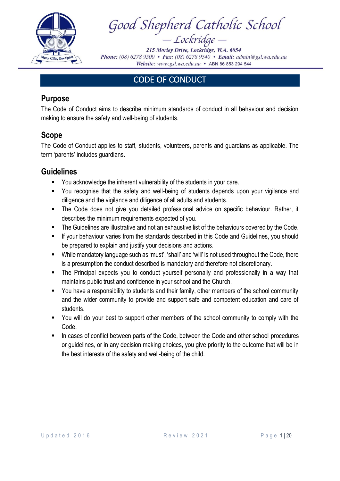

Good Shepherd Catholic School  $Lockridge -$ 

215 Morley Drive, Lockridge, W.A. 6054 Phone: (08) 6278 9500 • Fax: (08) 6278 9540 • Email: admin@gsl.wa.edu.au Website: www.gsl.wa.edu.au • ABN 86 853 294 544

# CODE OF CONDUCT

#### **Purpose**

The Code of Conduct aims to describe minimum standards of conduct in all behaviour and decision making to ensure the safety and well-being of students.

### **Scope**

The Code of Conduct applies to staff, students, volunteers, parents and guardians as applicable. The term 'parents' includes guardians.

#### **Guidelines**

- You acknowledge the inherent vulnerability of the students in your care.
- You recognise that the safety and well-being of students depends upon your vigilance and diligence and the vigilance and diligence of all adults and students.
- The Code does not give you detailed professional advice on specific behaviour. Rather, it describes the minimum requirements expected of you.
- The Guidelines are illustrative and not an exhaustive list of the behaviours covered by the Code.
- **■** If your behaviour varies from the standards described in this Code and Guidelines, you should be prepared to explain and justify your decisions and actions.
- While mandatory language such as 'must', 'shall' and 'will' is not used throughout the Code, there is a presumption the conduct described is mandatory and therefore not discretionary.
- The Principal expects you to conduct yourself personally and professionally in a way that maintains public trust and confidence in your school and the Church.
- You have a responsibility to students and their family, other members of the school community and the wider community to provide and support safe and competent education and care of students.
- You will do your best to support other members of the school community to comply with the Code.
- In cases of conflict between parts of the Code, between the Code and other school procedures or guidelines, or in any decision making choices, you give priority to the outcome that will be in the best interests of the safety and well-being of the child.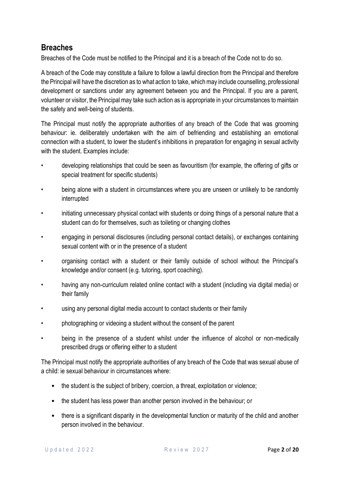### **Breaches**

Breaches of the Code must be notified to the Principal and it is a breach of the Code not to do so.

A breach of the Code may constitute a failure to follow a lawful direction from the Principal and therefore the Principal will have the discretion as to what action to take, which may include counselling, professional development or sanctions under any agreement between you and the Principal. If you are a parent, volunteer or visitor, the Principal may take such action as is appropriate in your circumstances to maintain the safety and well-being of students.

The Principal must notify the appropriate authorities of any breach of the Code that was grooming behaviour: ie. deliberately undertaken with the aim of befriending and establishing an emotional connection with a student, to lower the student's inhibitions in preparation for engaging in sexual activity with the student. Examples include:

- developing relationships that could be seen as favouritism (for example, the offering of gifts or special treatment for specific students)
- being alone with a student in circumstances where you are unseen or unlikely to be randomly interrupted
- initiating unnecessary physical contact with students or doing things of a personal nature that a student can do for themselves, such as toileting or changing clothes
- engaging in personal disclosures (including personal contact details), or exchanges containing sexual content with or in the presence of a student
- organising contact with a student or their family outside of school without the Principal's knowledge and/or consent (e.g. tutoring, sport coaching).
- having any non-curriculum related online contact with a student (including via digital media) or their family
- using any personal digital media account to contact students or their family
- photographing or videoing a student without the consent of the parent
- being in the presence of a student whilst under the influence of alcohol or non-medically prescribed drugs or offering either to a student

The Principal must notify the appropriate authorities of any breach of the Code that was sexual abuse of a child: ie sexual behaviour in circumstances where:

- the student is the subject of bribery, coercion, a threat, exploitation or violence;
- the student has less power than another person involved in the behaviour; or
- there is a significant disparity in the developmental function or maturity of the child and another person involved in the behaviour.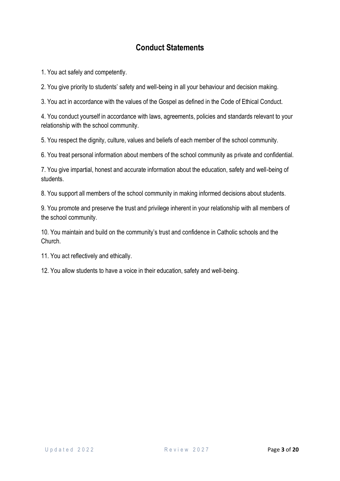1. You act safely and competently.

2. You give priority to students' safety and well-being in all your behaviour and decision making.

3. You act in accordance with the values of the Gospel as defined in the Code of Ethical Conduct.

4. You conduct yourself in accordance with laws, agreements, policies and standards relevant to your relationship with the school community.

5. You respect the dignity, culture, values and beliefs of each member of the school community.

6. You treat personal information about members of the school community as private and confidential.

7. You give impartial, honest and accurate information about the education, safety and well-being of students.

8. You support all members of the school community in making informed decisions about students.

9. You promote and preserve the trust and privilege inherent in your relationship with all members of the school community.

10. You maintain and build on the community's trust and confidence in Catholic schools and the Church.

11. You act reflectively and ethically.

12. You allow students to have a voice in their education, safety and well-being.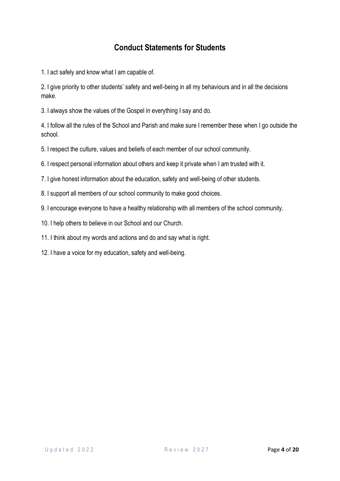## **Conduct Statements for Students**

1. I act safely and know what I am capable of.

2. I give priority to other students' safety and well-being in all my behaviours and in all the decisions make.

3. I always show the values of the Gospel in everything I say and do.

4. I follow all the rules of the School and Parish and make sure I remember these when I go outside the school.

5. I respect the culture, values and beliefs of each member of our school community.

6. I respect personal information about others and keep it private when I am trusted with it.

7. I give honest information about the education, safety and well-being of other students.

8. I support all members of our school community to make good choices.

9. I encourage everyone to have a healthy relationship with all members of the school community.

10. I help others to believe in our School and our Church.

11. I think about my words and actions and do and say what is right.

12. I have a voice for my education, safety and well-being.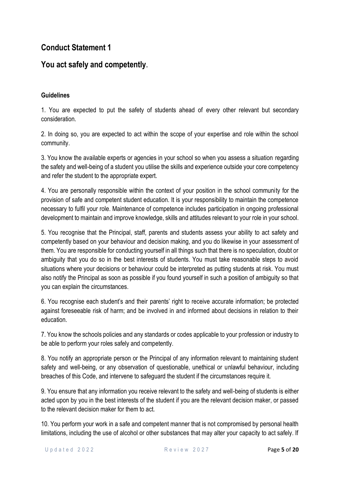### **You act safely and competently.**

#### **Guidelines**

1. You are expected to put the safety of students ahead of every other relevant but secondary consideration.

2. In doing so, you are expected to act within the scope of your expertise and role within the school community.

3. You know the available experts or agencies in your school so when you assess a situation regarding the safety and well-being of a student you utilise the skills and experience outside your core competency and refer the student to the appropriate expert.

4. You are personally responsible within the context of your position in the school community for the provision of safe and competent student education. It is your responsibility to maintain the competence necessary to fulfil your role. Maintenance of competence includes participation in ongoing professional development to maintain and improve knowledge, skills and attitudes relevant to your role in your school.

5. You recognise that the Principal, staff, parents and students assess your ability to act safety and competently based on your behaviour and decision making, and you do likewise in your assessment of them. You are responsible for conducting yourself in all things such that there is no speculation, doubt or ambiguity that you do so in the best interests of students. You must take reasonable steps to avoid situations where your decisions or behaviour could be interpreted as putting students at risk. You must also notify the Principal as soon as possible if you found yourself in such a position of ambiguity so that you can explain the circumstances.

6. You recognise each student's and their parents' right to receive accurate information; be protected against foreseeable risk of harm; and be involved in and informed about decisions in relation to their education.

7. You know the schools policies and any standards or codes applicable to your profession or industry to be able to perform your roles safely and competently.

8. You notify an appropriate person or the Principal of any information relevant to maintaining student safety and well-being, or any observation of questionable, unethical or unlawful behaviour, including breaches of this Code, and intervene to safeguard the student if the circumstances require it.

9. You ensure that any information you receive relevant to the safety and well-being of students is either acted upon by you in the best interests of the student if you are the relevant decision maker, or passed to the relevant decision maker for them to act.

10. You perform your work in a safe and competent manner that is not compromised by personal health limitations, including the use of alcohol or other substances that may alter your capacity to act safely. If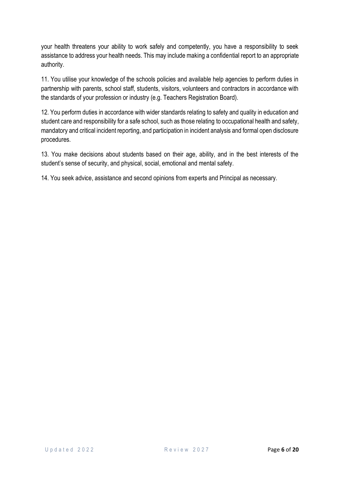your health threatens your ability to work safely and competently, you have a responsibility to seek assistance to address your health needs. This may include making a confidential report to an appropriate authority.

11. You utilise your knowledge of the schools policies and available help agencies to perform duties in partnership with parents, school staff, students, visitors, volunteers and contractors in accordance with the standards of your profession or industry (e.g. Teachers Registration Board).

12. You perform duties in accordance with wider standards relating to safety and quality in education and student care and responsibility for a safe school, such as those relating to occupational health and safety, mandatory and critical incident reporting, and participation in incident analysis and formal open disclosure procedures.

13. You make decisions about students based on their age, ability, and in the best interests of the student's sense of security, and physical, social, emotional and mental safety.

14. You seek advice, assistance and second opinions from experts and Principal as necessary.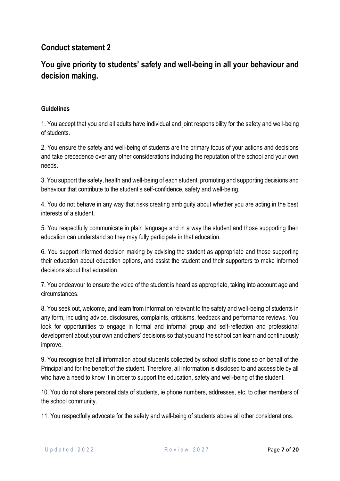# **You give priority to students' safety and well-being in all your behaviour and decision making.**

#### **Guidelines**

1. You accept that you and all adults have individual and joint responsibility for the safety and well-being of students.

2. You ensure the safety and well-being of students are the primary focus of your actions and decisions and take precedence over any other considerations including the reputation of the school and your own needs.

3. You support the safety, health and well-being of each student, promoting and supporting decisions and behaviour that contribute to the student's self-confidence, safety and well-being.

4. You do not behave in any way that risks creating ambiguity about whether you are acting in the best interests of a student.

5. You respectfully communicate in plain language and in a way the student and those supporting their education can understand so they may fully participate in that education.

6. You support informed decision making by advising the student as appropriate and those supporting their education about education options, and assist the student and their supporters to make informed decisions about that education.

7. You endeavour to ensure the voice of the student is heard as appropriate, taking into account age and circumstances.

8. You seek out, welcome, and learn from information relevant to the safety and well-being of students in any form, including advice, disclosures, complaints, criticisms, feedback and performance reviews. You look for opportunities to engage in formal and informal group and self-reflection and professional development about your own and others' decisions so that you and the school can learn and continuously improve.

9. You recognise that all information about students collected by school staff is done so on behalf of the Principal and for the benefit of the student. Therefore, all information is disclosed to and accessible by all who have a need to know it in order to support the education, safety and well-being of the student.

10. You do not share personal data of students, ie phone numbers, addresses, etc, to other members of the school community.

11. You respectfully advocate for the safety and well-being of students above all other considerations.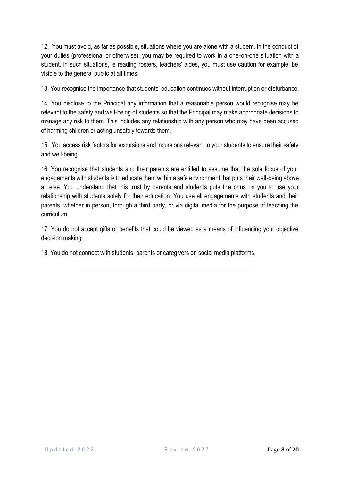12. You must avoid, as far as possible, situations where you are alone with a student. In the conduct of your duties (professional or otherwise), you may be required to work in a one-on-one situation with a student. In such situations, ie reading rosters, teachers' aides, you must use caution for example, be visible to the general public at all times.

13. You recognise the importance that students' education continues without interruption or disturbance.

14. You disclose to the Principal any information that a reasonable person would recognise may be relevant to the safety and well-being of students so that the Principal may make appropriate decisions to manage any risk to them. This includes any relationship with any person who may have been accused of harming children or acting unsafely towards them.

15. You access risk factors for excursions and incursions relevant to your students to ensure their safety and well-being.

16. You recognise that students and their parents are entitled to assume that the sole focus of your engagements with students is to educate them within a safe environment that puts their well-being above all else. You understand that this trust by parents and students puts the onus on you to use your relationship with students solely for their education. You use all engagements with students and their parents, whether in person, through a third party, or via digital media for the purpose of teaching the curriculum.

17. You do not accept gifts or benefits that could be viewed as a means of influencing your objective decision making.

18. You do not connect with students, parents or caregivers on social media platforms.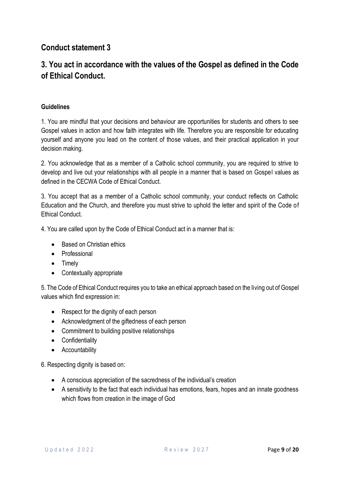# **3. You act in accordance with the values of the Gospel as defined in the Code of Ethical Conduct.**

#### **Guidelines**

1. You are mindful that your decisions and behaviour are opportunities for students and others to see Gospel values in action and how faith integrates with life. Therefore you are responsible for educating yourself and anyone you lead on the content of those values, and their practical application in your decision making.

2. You acknowledge that as a member of a Catholic school community, you are required to strive to develop and live out your relationships with all people in a manner that is based on Gospel values as defined in the CECWA Code of Ethical Conduct.

3. You accept that as a member of a Catholic school community, your conduct reflects on Catholic Education and the Church, and therefore you must strive to uphold the letter and spirit of the Code of Ethical Conduct.

4. You are called upon by the Code of Ethical Conduct act in a manner that is:

- Based on Christian ethics
- Professional
- Timely
- Contextually appropriate

5. The Code of Ethical Conduct requires you to take an ethical approach based on the living out of Gospel values which find expression in:

- Respect for the dignity of each person
- Acknowledgment of the giftedness of each person
- Commitment to building positive relationships
- Confidentiality
- Accountability

6. Respecting dignity is based on:

- A conscious appreciation of the sacredness of the individual's creation
- A sensitivity to the fact that each individual has emotions, fears, hopes and an innate goodness which flows from creation in the image of God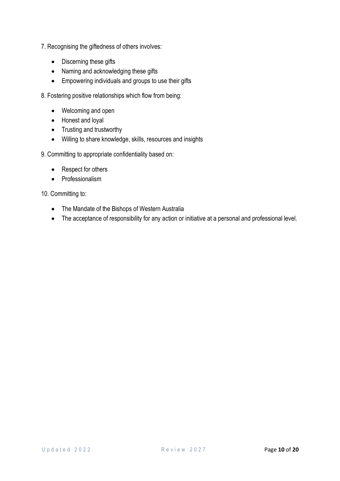- 7. Recognising the giftedness of others involves:
	- Discerning these gifts
	- Naming and acknowledging these gifts
	- Empowering individuals and groups to use their gifts
- 8. Fostering positive relationships which flow from being:
	- Welcoming and open
	- Honest and loyal
	- Trusting and trustworthy
	- Willing to share knowledge, skills, resources and insights
- 9. Committing to appropriate confidentiality based on:
	- Respect for others
	- Professionalism

10. Committing to:

- The Mandate of the Bishops of Western Australia
- The acceptance of responsibility for any action or initiative at a personal and professional level.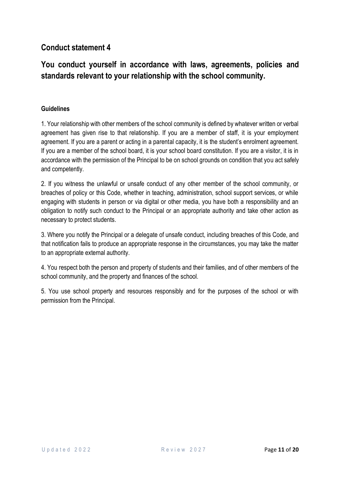# **You conduct yourself in accordance with laws, agreements, policies and standards relevant to your relationship with the school community.**

#### **Guidelines**

1. Your relationship with other members of the school community is defined by whatever written or verbal agreement has given rise to that relationship. If you are a member of staff, it is your employment agreement. If you are a parent or acting in a parental capacity, it is the student's enrolment agreement. If you are a member of the school board, it is your school board constitution. If you are a visitor, it is in accordance with the permission of the Principal to be on school grounds on condition that you act safely and competently.

2. If you witness the unlawful or unsafe conduct of any other member of the school community, or breaches of policy or this Code, whether in teaching, administration, school support services, or while engaging with students in person or via digital or other media, you have both a responsibility and an obligation to notify such conduct to the Principal or an appropriate authority and take other action as necessary to protect students.

3. Where you notify the Principal or a delegate of unsafe conduct, including breaches of this Code, and that notification fails to produce an appropriate response in the circumstances, you may take the matter to an appropriate external authority.

4. You respect both the person and property of students and their families, and of other members of the school community, and the property and finances of the school.

5. You use school property and resources responsibly and for the purposes of the school or with permission from the Principal.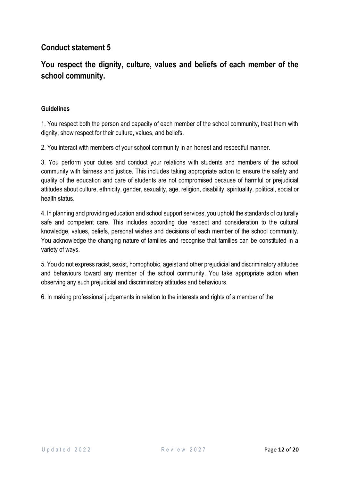## **You respect the dignity, culture, values and beliefs of each member of the school community.**

#### **Guidelines**

1. You respect both the person and capacity of each member of the school community, treat them with dignity, show respect for their culture, values, and beliefs.

2. You interact with members of your school community in an honest and respectful manner.

3. You perform your duties and conduct your relations with students and members of the school community with fairness and justice. This includes taking appropriate action to ensure the safety and quality of the education and care of students are not compromised because of harmful or prejudicial attitudes about culture, ethnicity, gender, sexuality, age, religion, disability, spirituality, political, social or health status.

4. In planning and providing education and school support services, you uphold the standards of culturally safe and competent care. This includes according due respect and consideration to the cultural knowledge, values, beliefs, personal wishes and decisions of each member of the school community. You acknowledge the changing nature of families and recognise that families can be constituted in a variety of ways.

5. You do not express racist, sexist, homophobic, ageist and other prejudicial and discriminatory attitudes and behaviours toward any member of the school community. You take appropriate action when observing any such prejudicial and discriminatory attitudes and behaviours.

6. In making professional judgements in relation to the interests and rights of a member of the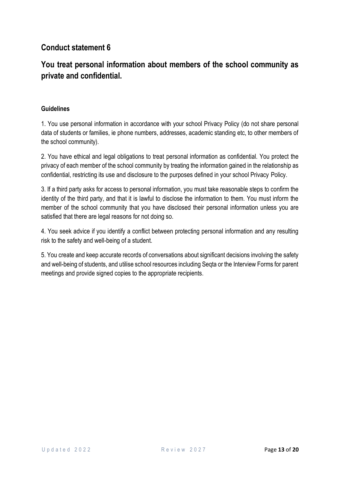## **You treat personal information about members of the school community as private and confidential.**

#### **Guidelines**

1. You use personal information in accordance with your school Privacy Policy (do not share personal data of students or families, ie phone numbers, addresses, academic standing etc, to other members of the school community).

2. You have ethical and legal obligations to treat personal information as confidential. You protect the privacy of each member of the school community by treating the information gained in the relationship as confidential, restricting its use and disclosure to the purposes defined in your school Privacy Policy.

3. If a third party asks for access to personal information, you must take reasonable steps to confirm the identity of the third party, and that it is lawful to disclose the information to them. You must inform the member of the school community that you have disclosed their personal information unless you are satisfied that there are legal reasons for not doing so.

4. You seek advice if you identify a conflict between protecting personal information and any resulting risk to the safety and well-being of a student.

5. You create and keep accurate records of conversations about significant decisions involving the safety and well-being of students, and utilise school resources including Seqta or the Interview Forms for parent meetings and provide signed copies to the appropriate recipients.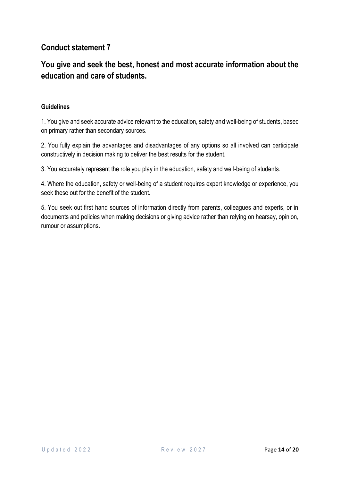## **You give and seek the best, honest and most accurate information about the education and care of students.**

#### **Guidelines**

1. You give and seek accurate advice relevant to the education, safety and well-being of students, based on primary rather than secondary sources.

2. You fully explain the advantages and disadvantages of any options so all involved can participate constructively in decision making to deliver the best results for the student.

3. You accurately represent the role you play in the education, safety and well-being of students.

4. Where the education, safety or well-being of a student requires expert knowledge or experience, you seek these out for the benefit of the student.

5. You seek out first hand sources of information directly from parents, colleagues and experts, or in documents and policies when making decisions or giving advice rather than relying on hearsay, opinion, rumour or assumptions.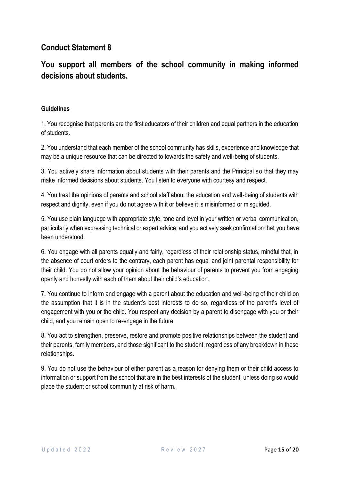## **You support all members of the school community in making informed decisions about students.**

#### **Guidelines**

1. You recognise that parents are the first educators of their children and equal partners in the education of students.

2. You understand that each member of the school community has skills, experience and knowledge that may be a unique resource that can be directed to towards the safety and well-being of students.

3. You actively share information about students with their parents and the Principal so that they may make informed decisions about students. You listen to everyone with courtesy and respect.

4. You treat the opinions of parents and school staff about the education and well-being of students with respect and dignity, even if you do not agree with it or believe it is misinformed or misguided.

5. You use plain language with appropriate style, tone and level in your written or verbal communication, particularly when expressing technical or expert advice, and you actively seek confirmation that you have been understood.

6. You engage with all parents equally and fairly, regardless of their relationship status, mindful that, in the absence of court orders to the contrary, each parent has equal and joint parental responsibility for their child. You do not allow your opinion about the behaviour of parents to prevent you from engaging openly and honestly with each of them about their child's education.

7. You continue to inform and engage with a parent about the education and well-being of their child on the assumption that it is in the student's best interests to do so, regardless of the parent's level of engagement with you or the child. You respect any decision by a parent to disengage with you or their child, and you remain open to re-engage in the future.

8. You act to strengthen, preserve, restore and promote positive relationships between the student and their parents, family members, and those significant to the student, regardless of any breakdown in these relationships.

9. You do not use the behaviour of either parent as a reason for denying them or their child access to information or support from the school that are in the best interests of the student, unless doing so would place the student or school community at risk of harm.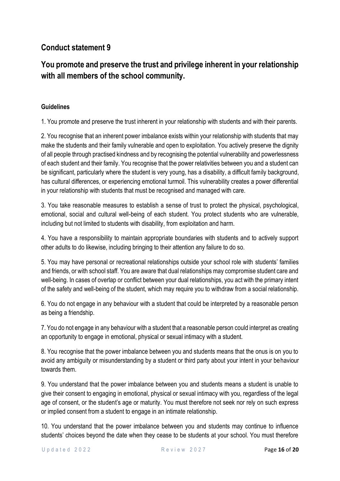# **You promote and preserve the trust and privilege inherent in your relationship with all members of the school community.**

#### **Guidelines**

1. You promote and preserve the trust inherent in your relationship with students and with their parents.

2. You recognise that an inherent power imbalance exists within your relationship with students that may make the students and their family vulnerable and open to exploitation. You actively preserve the dignity of all people through practised kindness and by recognising the potential vulnerability and powerlessness of each student and their family. You recognise that the power relativities between you and a student can be significant, particularly where the student is very young, has a disability, a difficult family background, has cultural differences, or experiencing emotional turmoil. This vulnerability creates a power differential in your relationship with students that must be recognised and managed with care.

3. You take reasonable measures to establish a sense of trust to protect the physical, psychological, emotional, social and cultural well-being of each student. You protect students who are vulnerable, including but not limited to students with disability, from exploitation and harm.

4. You have a responsibility to maintain appropriate boundaries with students and to actively support other adults to do likewise, including bringing to their attention any failure to do so.

5. You may have personal or recreational relationships outside your school role with students' families and friends, or with school staff. You are aware that dual relationships may compromise student care and well-being. In cases of overlap or conflict between your dual relationships, you act with the primary intent of the safety and well-being of the student, which may require you to withdraw from a social relationship.

6. You do not engage in any behaviour with a student that could be interpreted by a reasonable person as being a friendship.

7. You do not engage in any behaviour with a student that a reasonable person could interpret as creating an opportunity to engage in emotional, physical or sexual intimacy with a student.

8. You recognise that the power imbalance between you and students means that the onus is on you to avoid any ambiguity or misunderstanding by a student or third party about your intent in your behaviour towards them.

9. You understand that the power imbalance between you and students means a student is unable to give their consent to engaging in emotional, physical or sexual intimacy with you, regardless of the legal age of consent, or the student's age or maturity. You must therefore not seek nor rely on such express or implied consent from a student to engage in an intimate relationship.

10. You understand that the power imbalance between you and students may continue to influence students' choices beyond the date when they cease to be students at your school. You must therefore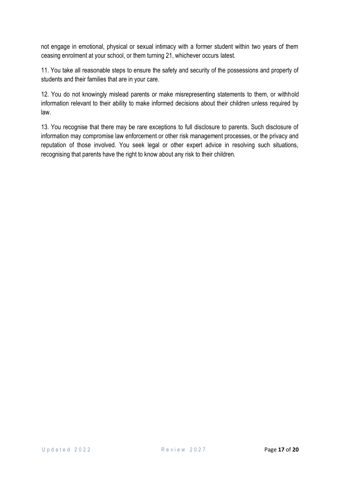not engage in emotional, physical or sexual intimacy with a former student within two years of them ceasing enrolment at your school, or them turning 21, whichever occurs latest.

11. You take all reasonable steps to ensure the safety and security of the possessions and property of students and their families that are in your care.

12. You do not knowingly mislead parents or make misrepresenting statements to them, or withhold information relevant to their ability to make informed decisions about their children unless required by law.

13. You recognise that there may be rare exceptions to full disclosure to parents. Such disclosure of information may compromise law enforcement or other risk management processes, or the privacy and reputation of those involved. You seek legal or other expert advice in resolving such situations, recognising that parents have the right to know about any risk to their children.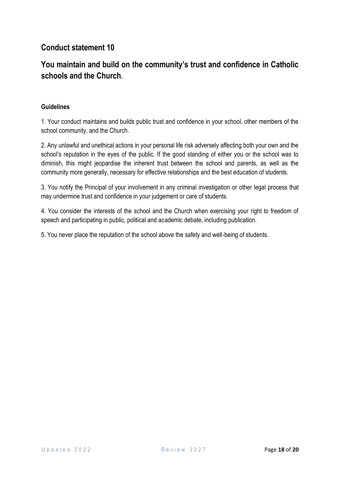## **You maintain and build on the community's trust and confidence in Catholic schools and the Church.**

#### **Guidelines**

1. Your conduct maintains and builds public trust and confidence in your school, other members of the school community, and the Church.

2. Any unlawful and unethical actions in your personal life risk adversely affecting both your own and the school's reputation in the eyes of the public. If the good standing of either you or the school was to diminish, this might jeopardise the inherent trust between the school and parents, as well as the community more generally, necessary for effective relationships and the best education of students.

3. You notify the Principal of your involvement in any criminal investigation or other legal process that may undermine trust and confidence in your judgement or care of students.

4. You consider the interests of the school and the Church when exercising your right to freedom of speech and participating in public, political and academic debate, including publication.

5. You never place the reputation of the school above the safety and well-being of students.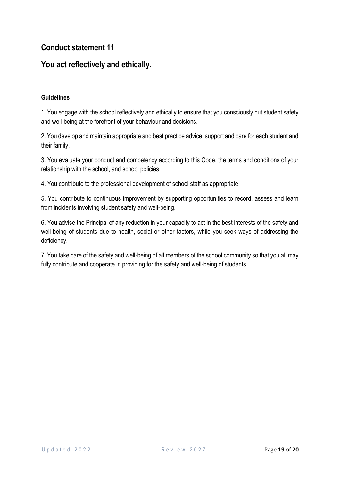### **You act reflectively and ethically.**

#### **Guidelines**

1. You engage with the school reflectively and ethically to ensure that you consciously put student safety and well-being at the forefront of your behaviour and decisions.

2. You develop and maintain appropriate and best practice advice, support and care for each student and their family.

3. You evaluate your conduct and competency according to this Code, the terms and conditions of your relationship with the school, and school policies.

4. You contribute to the professional development of school staff as appropriate.

5. You contribute to continuous improvement by supporting opportunities to record, assess and learn from incidents involving student safety and well-being.

6. You advise the Principal of any reduction in your capacity to act in the best interests of the safety and well-being of students due to health, social or other factors, while you seek ways of addressing the deficiency.

7. You take care of the safety and well-being of all members of the school community so that you all may fully contribute and cooperate in providing for the safety and well-being of students.